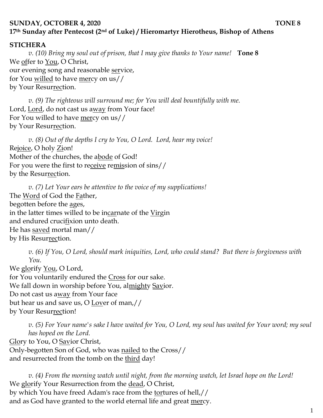## **SUNDAY, OCTOBER 4, 2020 TONE 8 17th Sunday after Pentecost (2nd of Luke) / Hieromartyr Hierotheus, Bishop of Athens**

## **STICHERA**

*v. (10) Bring my soul out of prison, that I may give thanks to Your name!* **Tone 8** We offer to You, O Christ, our evening song and reasonable service, for You willed to have mercy on us// by Your Resurrection.

*v.* (9) The righteous will surround me; for You will deal bountifully with me. Lord, Lord, do not cast us away from Your face! For You willed to have mercy on us// by Your Resurrection.

*v. (8) Out of the depths I cry to You, O Lord. Lord, hear my voice!*  Rejoice, O holy Zion! Mother of the churches, the abode of God! For you were the first to receive remission of sins// by the Resurrection.

*v. (7) Let Your ears be attentive to the voice of my supplications!* The Word of God the Father, begotten before the ages, in the latter times willed to be incarnate of the Virgin and endured crucifixion unto death. He has saved mortal man// by His Resurrection.

*v. (6) If You, O Lord, should mark iniquities, Lord, who could stand? But there is forgiveness with You.* 

We glorify <u>You</u>, O Lord, for You voluntarily endured the Cross for our sake. We fall down in worship before You, almighty Savior. Do not cast us away from Your face but hear us and save us, O Lover of man,// by Your Resurrection!

*v. (5) For Your name's sake I have waited for You, O Lord, my soul has waited for Your word; my soul has hoped on the Lord.*  Glory to You, O Savior Christ, Only-begotten Son of God, who was nailed to the Cross// and resurrected from the tomb on the third day!

*v. (4) From the morning watch until night, from the morning watch, let Israel hope on the Lord!*  We glorify Your Resurrection from the dead, O Christ, by which You have freed Adam's race from the tortures of hell,// and as God have granted to the world eternal life and great mercy.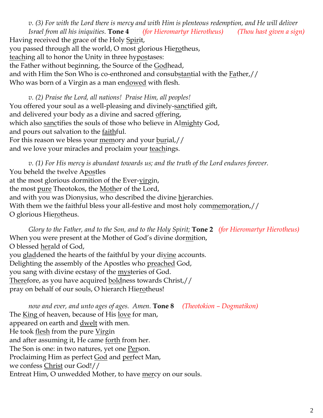*v. (3) For with the Lord there is mercy and with Him is plenteous redemption, and He will deliver Israel from all his iniquities.* **Tone 4** *(for Hieromartyr Hierotheus) (Thou hast given a sign)* Having received the grace of the Holy Spirit, you passed through all the world, O most glorious Hierotheus, teaching all to honor the Unity in three hypostases: the Father without beginning, the Source of the Godhead, and with Him the Son Who is co-enthroned and consubstantial with the Father,// Who was born of a Virgin as a man endowed with flesh.

*v. (2) Praise the Lord, all nations! Praise Him, all peoples!* You offered your soul as a well-pleasing and divinely-sanctified gift, and delivered your body as a divine and sacred offering, which also sanctifies the souls of those who believe in Almighty God, and pours out salvation to the <u>faithful</u>. For this reason we bless your memory and your burial,// and we love your miracles and proclaim your teachings.

*v. (1) For His mercy is abundant towards us; and the truth of the Lord endures forever.*  You beheld the twelve Apostles at the most glorious dormition of the Ever-virgin, the most pure Theotokos, the Mother of the Lord, and with you was Dionysius, who described the divine hierarchies. With them we the faithful bless your all-festive and most holy commemoration,// O glorious Hierotheus.

*Glory to the Father, and to the Son, and to the Holy Spirit;* **Tone 2** *(for Hieromartyr Hierotheus)* When you were present at the Mother of God's divine dormition, O blessed herald of God, you gladdened the hearts of the faithful by your divine accounts. Delighting the assembly of the Apostles who preached God, you sang with divine ecstasy of the <u>mys</u>teries of God. Therefore, as you have acquired boldness towards Christ,// pray on behalf of our souls, O hierarch Hierotheus!

*now and ever, and unto ages of ages. Amen.* **Tone 8** *(Theotokion – Dogmatikon)* The <u>King</u> of heaven, because of His <u>love</u> for man, appeared on earth and <u>dwelt</u> with men. He took <u>flesh</u> from the pure Virgin and after assuming it, He came forth from her. The Son is one: in two natures, yet one Person. Proclaiming Him as perfect God and perfect Man, we confess Christ our God!// Entreat Him, O unwedded Mother, to have mercy on our souls.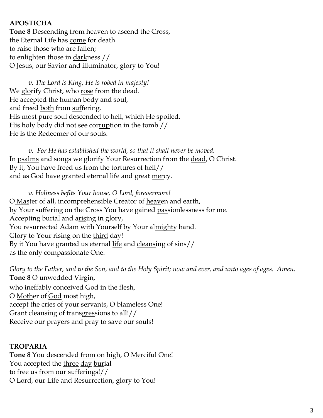## **APOSTICHA**

**Tone 8** Descending from heaven to ascend the Cross, the Eternal Life has come for death to raise those who are fallen; to enlighten those in darkness.// O Jesus, our Savior and illuminator, glory to You!

*v. The Lord is King; He is robed in majesty!*  We glorify Christ, who rose from the dead. He accepted the human body and soul, and freed both from suffering. His most pure soul descended to hell, which He spoiled. His holy body did not see corruption in the tomb.// He is the Redeemer of our souls.

*v. For He has established the world, so that it shall never be moved.* In psalms and songs we glorify Your Resurrection from the dead, O Christ. By it, You have freed us from the <u>tor</u>tures of hell// and as God have granted eternal life and great mercy.

*v. Holiness befits Your house, O Lord, forevermore!*  O Master of all, incomprehensible Creator of heaven and earth, by Your suffering on the Cross You have gained passionlessness for me. Accepting burial and arising in glory, You resurrected Adam with Yourself by Your almighty hand. Glory to Your rising on the third day! By it You have granted us eternal life and cleansing of sins// as the only compassionate One.

*Glory to the Father, and to the Son, and to the Holy Spirit; now and ever, and unto ages of ages. Amen.*  **Tone 8** O unwedded Virgin, who ineffably conceived God in the flesh, O Mother of God most high, accept the cries of your servants, O blameless One! Grant cleansing of transgressions to all!// Receive our prayers and pray to save our souls!

## **TROPARIA**

**Tone 8** You descended from on high, O Merciful One! You accepted the three day burial to free us from our sufferings!// O Lord, our Life and Resurrection, glory to You!